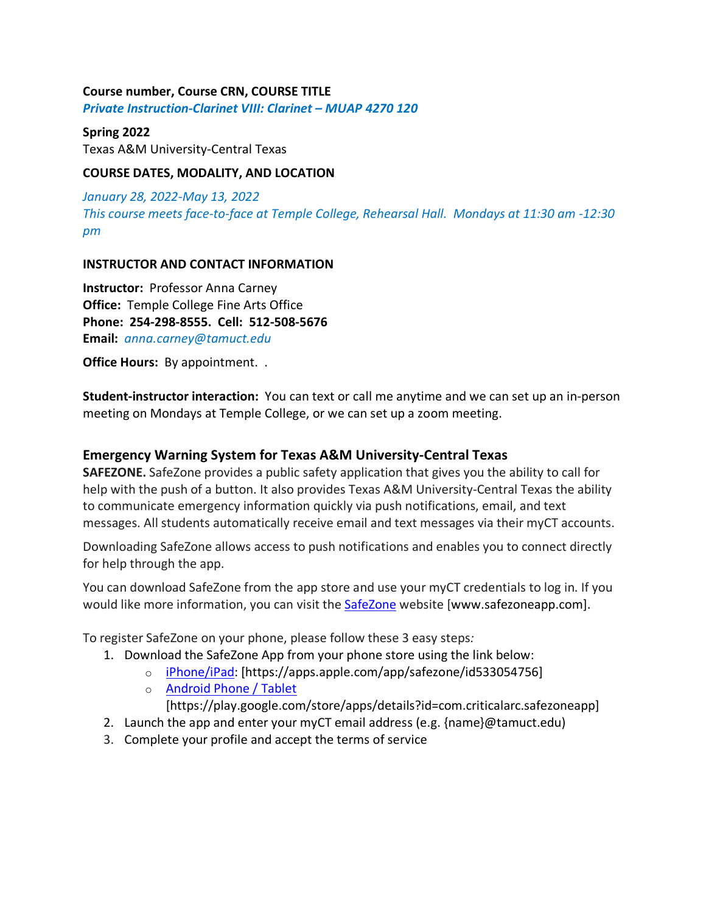### **Course number, Course CRN, COURSE TITLE**

*Private Instruction-Clarinet VIII: Clarinet – MUAP 4270 120*

#### **Spring 2022**

Texas A&M University-Central Texas

## **COURSE DATES, MODALITY, AND LOCATION**

*January 28, 2022-May 13, 2022 This course meets face-to-face at Temple College, Rehearsal Hall. Mondays at 11:30 am -12:30 pm*

#### **INSTRUCTOR AND CONTACT INFORMATION**

**Instructor:** Professor Anna Carney **Office:** Temple College Fine Arts Office **Phone: 254-298-8555. Cell: 512-508-5676 Email:** *anna.carney@tamuct.edu*

**Office Hours:** By appointment. .

**Student-instructor interaction:** You can text or call me anytime and we can set up an in-person meeting on Mondays at Temple College, or we can set up a zoom meeting.

## **Emergency Warning System for Texas A&M University-Central Texas**

**SAFEZONE.** SafeZone provides a public safety application that gives you the ability to call for help with the push of a button. It also provides Texas A&M University-Central Texas the ability to communicate emergency information quickly via push notifications, email, and text messages. All students automatically receive email and text messages via their myCT accounts.

Downloading SafeZone allows access to push notifications and enables you to connect directly for help through the app.

You can download SafeZone from the app store and use your myCT credentials to log in. If you would like more information, you can visit the **SafeZone** website [www.safezoneapp.com].

To register SafeZone on your phone, please follow these 3 easy steps*:*

- 1. Download the SafeZone App from your phone store using the link below:
	- o iPhone/iPad: [https://apps.apple.com/app/safezone/id533054756]
	- o Android Phone / Tablet

[https://play.google.com/store/apps/details?id=com.criticalarc.safezoneapp]

- 2. Launch the app and enter your myCT email address (e.g. {name}@tamuct.edu)
- 3. Complete your profile and accept the terms of service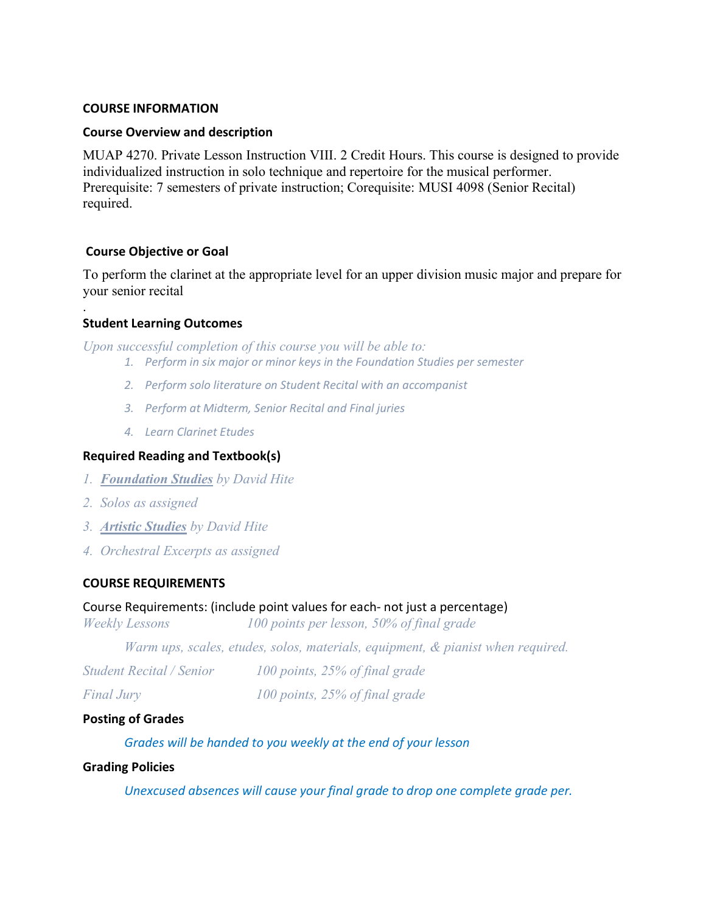#### **COURSE INFORMATION**

### **Course Overview and description**

MUAP 4270. Private Lesson Instruction VIII. 2 Credit Hours. This course is designed to provide individualized instruction in solo technique and repertoire for the musical performer. Prerequisite: 7 semesters of private instruction; Corequisite: MUSI 4098 (Senior Recital) required.

#### **Course Objective or Goal**

To perform the clarinet at the appropriate level for an upper division music major and prepare for your senior recital

## **Student Learning Outcomes**

.

*Upon successful completion of this course you will be able to:*

- *1. Perform in six major or minor keys in the Foundation Studies per semester*
- *2. Perform solo literature on Student Recital with an accompanist*
- *3. Perform at Midterm, Senior Recital and Final juries*
- *4. Learn Clarinet Etudes*

## **Required Reading and Textbook(s)**

- *1. Foundation Studies by David Hite*
- *2. Solos as assigned*
- *3. Artistic Studies by David Hite*
- *4. Orchestral Excerpts as assigned*

## **COURSE REQUIREMENTS**

#### Course Requirements: (include point values for each- not just a percentage)

*Weekly Lessons 100 points per lesson, 50% of final grade*

*Warm ups, scales, etudes, solos, materials, equipment, & pianist when required.*

| <b>Student Recital / Senior</b> | 100 points, 25% of final grade |  |  |
|---------------------------------|--------------------------------|--|--|
|                                 |                                |  |  |

*Final Jury 100 points, 25% of final grade*

#### **Posting of Grades**

*Grades will be handed to you weekly at the end of your lesson*

#### **Grading Policies**

*Unexcused absences will cause your final grade to drop one complete grade per.*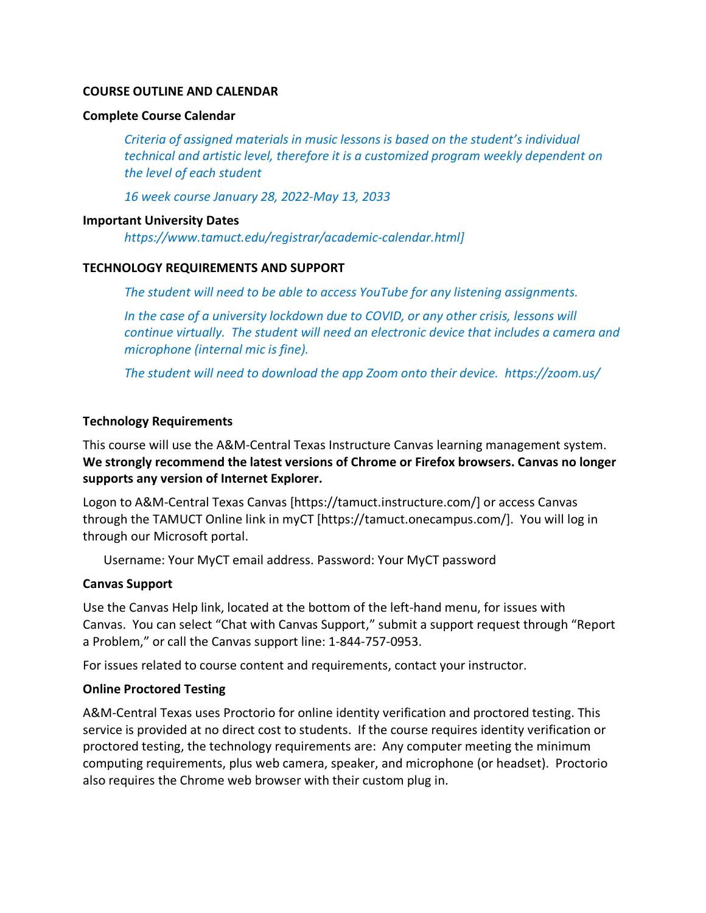#### **COURSE OUTLINE AND CALENDAR**

#### **Complete Course Calendar**

*Criteria of assigned materials in music lessons is based on the student's individual technical and artistic level, therefore it is a customized program weekly dependent on the level of each student*

*16 week course January 28, 2022-May 13, 2033*

#### **Important University Dates**

*https://www.tamuct.edu/registrar/academic-calendar.html]*

#### **TECHNOLOGY REQUIREMENTS AND SUPPORT**

*The student will need to be able to access YouTube for any listening assignments.*

*In the case of a university lockdown due to COVID, or any other crisis, lessons will continue virtually. The student will need an electronic device that includes a camera and microphone (internal mic is fine).* 

*The student will need to download the app Zoom onto their device. https://zoom.us/*

## **Technology Requirements**

This course will use the A&M-Central Texas Instructure Canvas learning management system. **We strongly recommend the latest versions of Chrome or Firefox browsers. Canvas no longer supports any version of Internet Explorer.**

Logon to A&M-Central Texas Canvas [https://tamuct.instructure.com/] or access Canvas through the TAMUCT Online link in myCT [https://tamuct.onecampus.com/]. You will log in through our Microsoft portal.

Username: Your MyCT email address. Password: Your MyCT password

## **Canvas Support**

Use the Canvas Help link, located at the bottom of the left-hand menu, for issues with Canvas. You can select "Chat with Canvas Support," submit a support request through "Report a Problem," or call the Canvas support line: 1-844-757-0953.

For issues related to course content and requirements, contact your instructor.

## **Online Proctored Testing**

A&M-Central Texas uses Proctorio for online identity verification and proctored testing. This service is provided at no direct cost to students. If the course requires identity verification or proctored testing, the technology requirements are: Any computer meeting the minimum computing requirements, plus web camera, speaker, and microphone (or headset). Proctorio also requires the Chrome web browser with their custom plug in.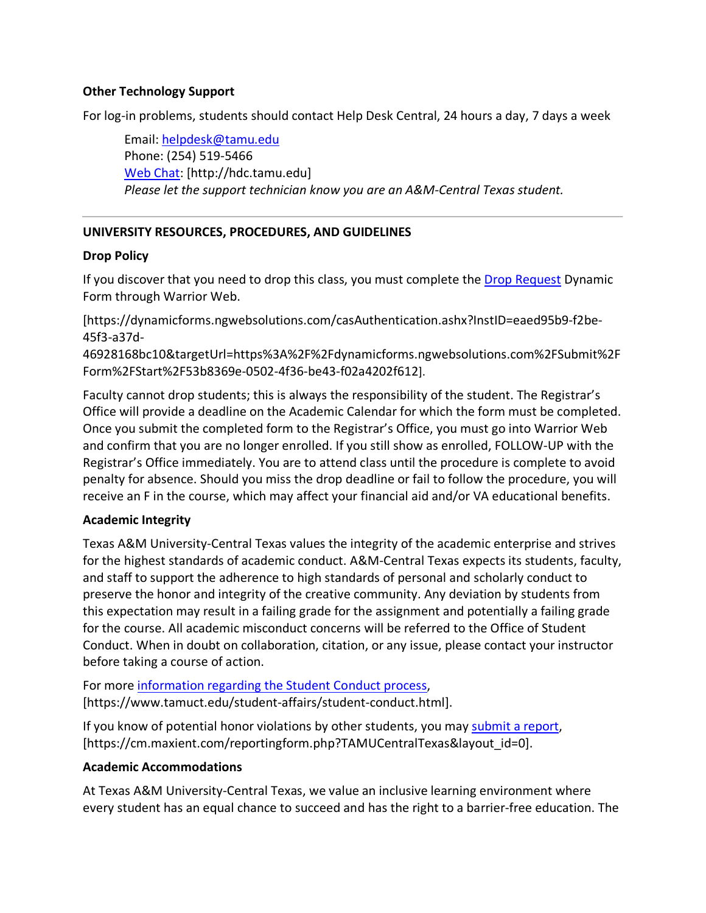## **Other Technology Support**

For log-in problems, students should contact Help Desk Central, 24 hours a day, 7 days a week

Email: helpdesk@tamu.edu Phone: (254) 519-5466 Web Chat: [http://hdc.tamu.edu] *Please let the support technician know you are an A&M-Central Texas student.*

# **UNIVERSITY RESOURCES, PROCEDURES, AND GUIDELINES**

# **Drop Policy**

If you discover that you need to drop this class, you must complete the Drop Request Dynamic Form through Warrior Web.

[https://dynamicforms.ngwebsolutions.com/casAuthentication.ashx?InstID=eaed95b9-f2be-45f3-a37d-

46928168bc10&targetUrl=https%3A%2F%2Fdynamicforms.ngwebsolutions.com%2FSubmit%2F Form%2FStart%2F53b8369e-0502-4f36-be43-f02a4202f612].

Faculty cannot drop students; this is always the responsibility of the student. The Registrar's Office will provide a deadline on the Academic Calendar for which the form must be completed. Once you submit the completed form to the Registrar's Office, you must go into Warrior Web and confirm that you are no longer enrolled. If you still show as enrolled, FOLLOW-UP with the Registrar's Office immediately. You are to attend class until the procedure is complete to avoid penalty for absence. Should you miss the drop deadline or fail to follow the procedure, you will receive an F in the course, which may affect your financial aid and/or VA educational benefits.

# **Academic Integrity**

Texas A&M University-Central Texas values the integrity of the academic enterprise and strives for the highest standards of academic conduct. A&M-Central Texas expects its students, faculty, and staff to support the adherence to high standards of personal and scholarly conduct to preserve the honor and integrity of the creative community. Any deviation by students from this expectation may result in a failing grade for the assignment and potentially a failing grade for the course. All academic misconduct concerns will be referred to the Office of Student Conduct. When in doubt on collaboration, citation, or any issue, please contact your instructor before taking a course of action.

For more information regarding the Student Conduct process, [https://www.tamuct.edu/student-affairs/student-conduct.html].

If you know of potential honor violations by other students, you may submit a report, [https://cm.maxient.com/reportingform.php?TAMUCentralTexas&layout\_id=0].

## **Academic Accommodations**

At Texas A&M University-Central Texas, we value an inclusive learning environment where every student has an equal chance to succeed and has the right to a barrier-free education. The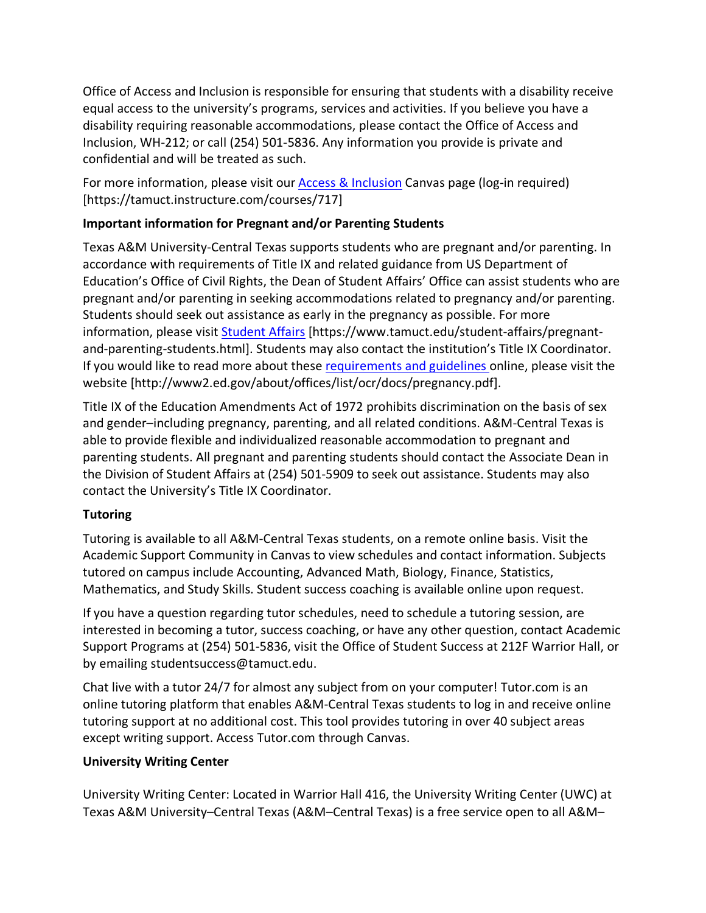Office of Access and Inclusion is responsible for ensuring that students with a disability receive equal access to the university's programs, services and activities. If you believe you have a disability requiring reasonable accommodations, please contact the Office of Access and Inclusion, WH-212; or call (254) 501-5836. Any information you provide is private and confidential and will be treated as such.

For more information, please visit our **Access & Inclusion** Canvas page (log-in required) [https://tamuct.instructure.com/courses/717]

# **Important information for Pregnant and/or Parenting Students**

Texas A&M University-Central Texas supports students who are pregnant and/or parenting. In accordance with requirements of Title IX and related guidance from US Department of Education's Office of Civil Rights, the Dean of Student Affairs' Office can assist students who are pregnant and/or parenting in seeking accommodations related to pregnancy and/or parenting. Students should seek out assistance as early in the pregnancy as possible. For more information, please visit Student Affairs [https://www.tamuct.edu/student-affairs/pregnantand-parenting-students.html]. Students may also contact the institution's Title IX Coordinator. If you would like to read more about these requirements and guidelines online, please visit the website [http://www2.ed.gov/about/offices/list/ocr/docs/pregnancy.pdf].

Title IX of the Education Amendments Act of 1972 prohibits discrimination on the basis of sex and gender–including pregnancy, parenting, and all related conditions. A&M-Central Texas is able to provide flexible and individualized reasonable accommodation to pregnant and parenting students. All pregnant and parenting students should contact the Associate Dean in the Division of Student Affairs at (254) 501-5909 to seek out assistance. Students may also contact the University's Title IX Coordinator.

# **Tutoring**

Tutoring is available to all A&M-Central Texas students, on a remote online basis. Visit the Academic Support Community in Canvas to view schedules and contact information. Subjects tutored on campus include Accounting, Advanced Math, Biology, Finance, Statistics, Mathematics, and Study Skills. Student success coaching is available online upon request.

If you have a question regarding tutor schedules, need to schedule a tutoring session, are interested in becoming a tutor, success coaching, or have any other question, contact Academic Support Programs at (254) 501-5836, visit the Office of Student Success at 212F Warrior Hall, or by emailing studentsuccess@tamuct.edu.

Chat live with a tutor 24/7 for almost any subject from on your computer! Tutor.com is an online tutoring platform that enables A&M-Central Texas students to log in and receive online tutoring support at no additional cost. This tool provides tutoring in over 40 subject areas except writing support. Access Tutor.com through Canvas.

# **University Writing Center**

University Writing Center: Located in Warrior Hall 416, the University Writing Center (UWC) at Texas A&M University–Central Texas (A&M–Central Texas) is a free service open to all A&M–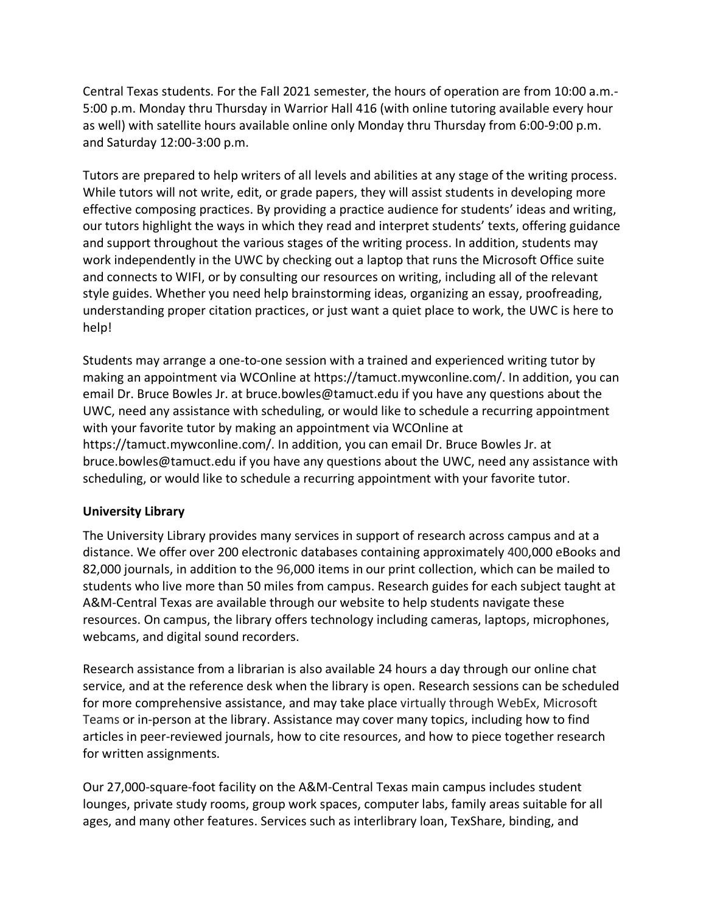Central Texas students. For the Fall 2021 semester, the hours of operation are from 10:00 a.m.- 5:00 p.m. Monday thru Thursday in Warrior Hall 416 (with online tutoring available every hour as well) with satellite hours available online only Monday thru Thursday from 6:00-9:00 p.m. and Saturday 12:00-3:00 p.m.

Tutors are prepared to help writers of all levels and abilities at any stage of the writing process. While tutors will not write, edit, or grade papers, they will assist students in developing more effective composing practices. By providing a practice audience for students' ideas and writing, our tutors highlight the ways in which they read and interpret students' texts, offering guidance and support throughout the various stages of the writing process. In addition, students may work independently in the UWC by checking out a laptop that runs the Microsoft Office suite and connects to WIFI, or by consulting our resources on writing, including all of the relevant style guides. Whether you need help brainstorming ideas, organizing an essay, proofreading, understanding proper citation practices, or just want a quiet place to work, the UWC is here to help!

Students may arrange a one-to-one session with a trained and experienced writing tutor by making an appointment via WCOnline at https://tamuct.mywconline.com/. In addition, you can email Dr. Bruce Bowles Jr. at bruce.bowles@tamuct.edu if you have any questions about the UWC, need any assistance with scheduling, or would like to schedule a recurring appointment with your favorite tutor by making an appointment via WCOnline at https://tamuct.mywconline.com/. In addition, you can email Dr. Bruce Bowles Jr. at bruce.bowles@tamuct.edu if you have any questions about the UWC, need any assistance with scheduling, or would like to schedule a recurring appointment with your favorite tutor.

## **University Library**

The University Library provides many services in support of research across campus and at a distance. We offer over 200 electronic databases containing approximately 400,000 eBooks and 82,000 journals, in addition to the 96,000 items in our print collection, which can be mailed to students who live more than 50 miles from campus. Research guides for each subject taught at A&M-Central Texas are available through our website to help students navigate these resources. On campus, the library offers technology including cameras, laptops, microphones, webcams, and digital sound recorders.

Research assistance from a librarian is also available 24 hours a day through our online chat service, and at the reference desk when the library is open. Research sessions can be scheduled for more comprehensive assistance, and may take place virtually through WebEx, Microsoft Teams or in-person at the library. Assistance may cover many topics, including how to find articles in peer-reviewed journals, how to cite resources, and how to piece together research for written assignments.

Our 27,000-square-foot facility on the A&M-Central Texas main campus includes student lounges, private study rooms, group work spaces, computer labs, family areas suitable for all ages, and many other features. Services such as interlibrary loan, TexShare, binding, and